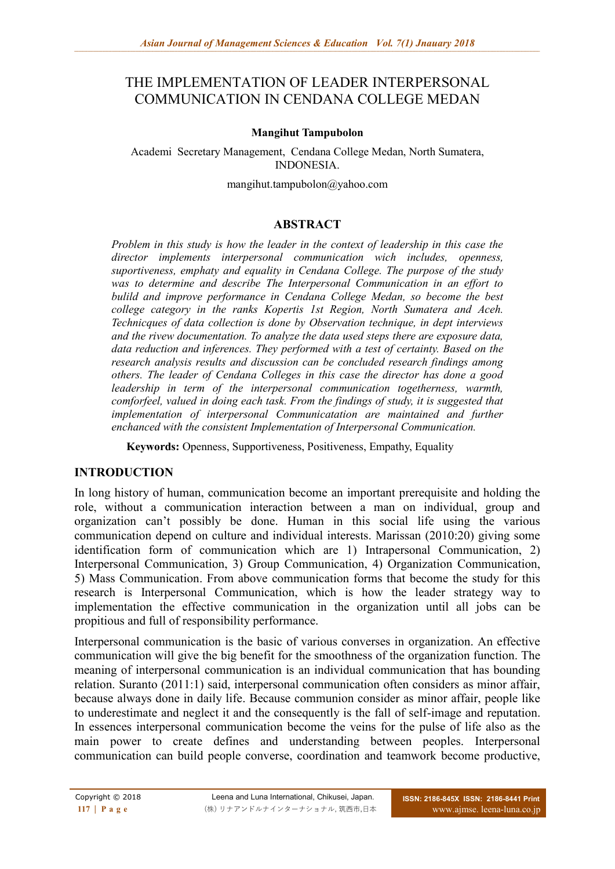# THE IMPLEMENTATION OF LEADER INTERPERSONAL COMMUNICATION IN CENDANA COLLEGE MEDAN

#### **Mangihut Tampubolon**

Academi Secretary Management, Cendana College Medan, North Sumatera, INDONESIA.

mangihut.tampubolon@yahoo.com

#### **ABSTRACT**

*Problem in this study is how the leader in the context of leadership in this case the director implements interpersonal communication wich includes, openness, suportiveness, emphaty and equality in Cendana College. The purpose of the study was to determine and describe The Interpersonal Communication in an effort to bulild and improve performance in Cendana College Medan, so become the best college category in the ranks Kopertis 1st Region, North Sumatera and Aceh. Technicques of data collection is done by Observation technique, in dept interviews and the rivew documentation. To analyze the data used steps there are exposure data, data reduction and inferences. They performed with a test of certainty. Based on the research analysis results and discussion can be concluded research findings among others. The leader of Cendana Colleges in this case the director has done a good leadership in term of the interpersonal communication togetherness, warmth, comforfeel, valued in doing each task. From the findings of study, it is suggested that implementation of interpersonal Communicatation are maintained and further enchanced with the consistent Implementation of Interpersonal Communication.*

**Keywords:** Openness, Supportiveness, Positiveness, Empathy, Equality

#### **INTRODUCTION**

In long history of human, communication become an important prerequisite and holding the role, without a communication interaction between a man on individual, group and organization can't possibly be done. Human in this social life using the various communication depend on culture and individual interests. Marissan (2010:20) giving some identification form of communication which are 1) Intrapersonal Communication, 2) Interpersonal Communication, 3) Group Communication, 4) Organization Communication, 5) Mass Communication. From above communication forms that become the study for this research is Interpersonal Communication, which is how the leader strategy way to implementation the effective communication in the organization until all jobs can be propitious and full of responsibility performance.

Interpersonal communication is the basic of various converses in organization. An effective communication will give the big benefit for the smoothness of the organization function. The meaning of interpersonal communication is an individual communication that has bounding relation. Suranto (2011:1) said, interpersonal communication often considers as minor affair, because always done in daily life. Because communion consider as minor affair, people like to underestimate and neglect it and the consequently is the fall of self-image and reputation. In essences interpersonal communication become the veins for the pulse of life also as the main power to create defines and understanding between peoples. Interpersonal communication can build people converse, coordination and teamwork become productive,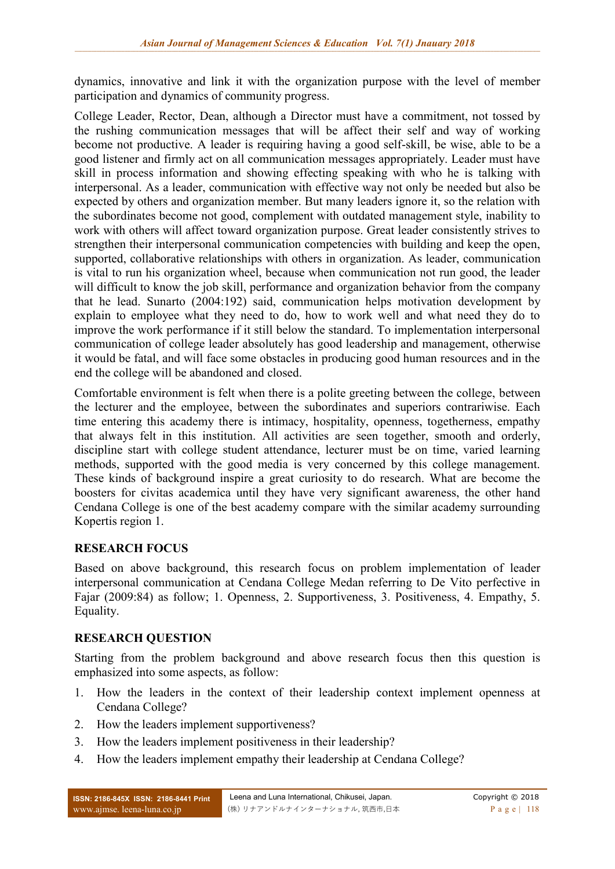dynamics, innovative and link it with the organization purpose with the level of member participation and dynamics of community progress.

College Leader, Rector, Dean, although a Director must have a commitment, not tossed by the rushing communication messages that will be affect their self and way of working become not productive. A leader is requiring having a good self-skill, be wise, able to be a good listener and firmly act on all communication messages appropriately. Leader must have skill in process information and showing effecting speaking with who he is talking with interpersonal. As a leader, communication with effective way not only be needed but also be expected by others and organization member. But many leaders ignore it, so the relation with the subordinates become not good, complement with outdated management style, inability to work with others will affect toward organization purpose. Great leader consistently strives to strengthen their interpersonal communication competencies with building and keep the open, supported, collaborative relationships with others in organization. As leader, communication is vital to run his organization wheel, because when communication not run good, the leader will difficult to know the job skill, performance and organization behavior from the company that he lead. Sunarto (2004:192) said, communication helps motivation development by explain to employee what they need to do, how to work well and what need they do to improve the work performance if it still below the standard. To implementation interpersonal communication of college leader absolutely has good leadership and management, otherwise it would be fatal, and will face some obstacles in producing good human resources and in the end the college will be abandoned and closed.

Comfortable environment is felt when there is a polite greeting between the college, between the lecturer and the employee, between the subordinates and superiors contrariwise. Each time entering this academy there is intimacy, hospitality, openness, togetherness, empathy that always felt in this institution. All activities are seen together, smooth and orderly, discipline start with college student attendance, lecturer must be on time, varied learning methods, supported with the good media is very concerned by this college management. These kinds of background inspire a great curiosity to do research. What are become the boosters for civitas academica until they have very significant awareness, the other hand Cendana College is one of the best academy compare with the similar academy surrounding Kopertis region 1.

## **RESEARCH FOCUS**

Based on above background, this research focus on problem implementation of leader interpersonal communication at Cendana College Medan referring to De Vito perfective in Fajar (2009:84) as follow; 1. Openness, 2. Supportiveness, 3. Positiveness, 4. Empathy, 5. Equality.

## **RESEARCH QUESTION**

Starting from the problem background and above research focus then this question is emphasized into some aspects, as follow:

- 1. How the leaders in the context of their leadership context implement openness at Cendana College?
- 2. How the leaders implement supportiveness?
- 3. How the leaders implement positiveness in their leadership?
- 4. How the leaders implement empathy their leadership at Cendana College?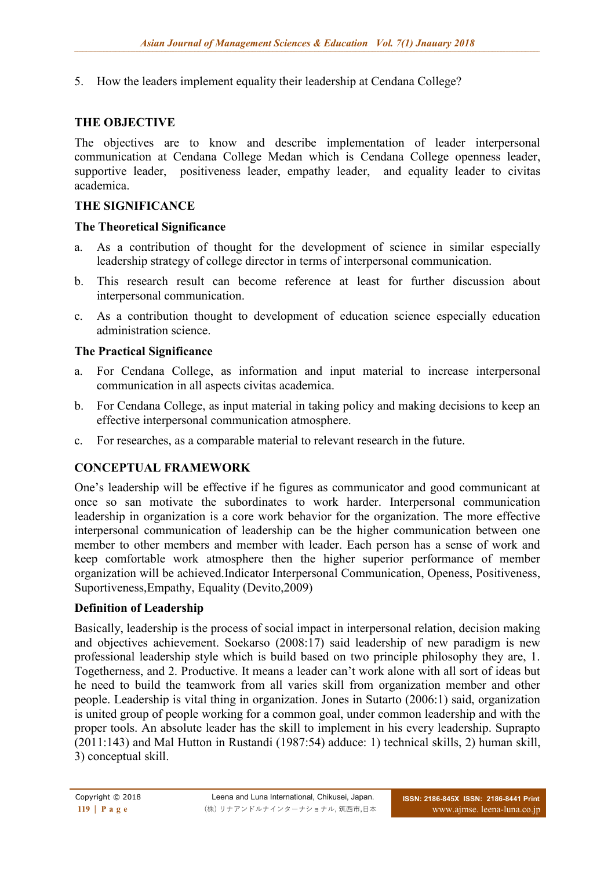5. How the leaders implement equality their leadership at Cendana College?

#### **THE OBJECTIVE**

The objectives are to know and describe implementation of leader interpersonal communication at Cendana College Medan which is Cendana College openness leader, supportive leader, positiveness leader, empathy leader, and equality leader to civitas academica.

#### **THE SIGNIFICANCE**

#### **The Theoretical Significance**

- a. As a contribution of thought for the development of science in similar especially leadership strategy of college director in terms of interpersonal communication.
- b. This research result can become reference at least for further discussion about interpersonal communication.
- c. As a contribution thought to development of education science especially education administration science.

#### **The Practical Significance**

- a. For Cendana College, as information and input material to increase interpersonal communication in all aspects civitas academica.
- b. For Cendana College, as input material in taking policy and making decisions to keep an effective interpersonal communication atmosphere.
- c. For researches, as a comparable material to relevant research in the future.

#### **CONCEPTUAL FRAMEWORK**

One's leadership will be effective if he figures as communicator and good communicant at once so san motivate the subordinates to work harder. Interpersonal communication leadership in organization is a core work behavior for the organization. The more effective interpersonal communication of leadership can be the higher communication between one member to other members and member with leader. Each person has a sense of work and keep comfortable work atmosphere then the higher superior performance of member organization will be achieved.Indicator Interpersonal Communication, Openess, Positiveness, Suportiveness,Empathy, Equality (Devito,2009)

#### **Definition of Leadership**

Basically, leadership is the process of social impact in interpersonal relation, decision making and objectives achievement. Soekarso (2008:17) said leadership of new paradigm is new professional leadership style which is build based on two principle philosophy they are, 1. Togetherness, and 2. Productive. It means a leader can't work alone with all sort of ideas but he need to build the teamwork from all varies skill from organization member and other people. Leadership is vital thing in organization. Jones in Sutarto (2006:1) said, organization is united group of people working for a common goal, under common leadership and with the proper tools. An absolute leader has the skill to implement in his every leadership. Suprapto (2011:143) and Mal Hutton in Rustandi (1987:54) adduce: 1) technical skills, 2) human skill, 3) conceptual skill.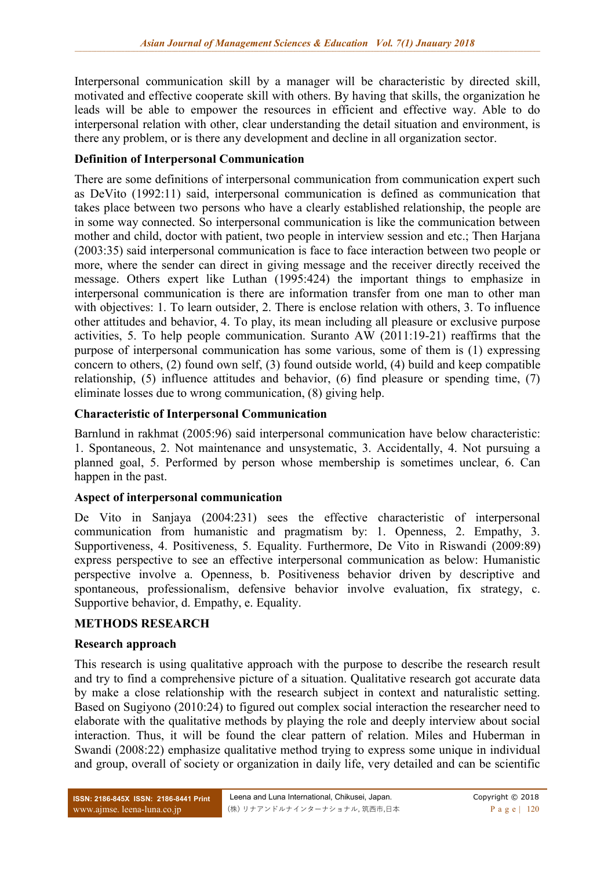Interpersonal communication skill by a manager will be characteristic by directed skill, motivated and effective cooperate skill with others. By having that skills, the organization he leads will be able to empower the resources in efficient and effective way. Able to do interpersonal relation with other, clear understanding the detail situation and environment, is there any problem, or is there any development and decline in all organization sector.

### **Definition of Interpersonal Communication**

There are some definitions of interpersonal communication from communication expert such as DeVito (1992:11) said, interpersonal communication is defined as communication that takes place between two persons who have a clearly established relationship, the people are in some way connected. So interpersonal communication is like the communication between mother and child, doctor with patient, two people in interview session and etc.; Then Harjana (2003:35) said interpersonal communication is face to face interaction between two people or more, where the sender can direct in giving message and the receiver directly received the message. Others expert like Luthan (1995:424) the important things to emphasize in interpersonal communication is there are information transfer from one man to other man with objectives: 1. To learn outsider, 2. There is enclose relation with others, 3. To influence other attitudes and behavior, 4. To play, its mean including all pleasure or exclusive purpose activities, 5. To help people communication. Suranto AW (2011:19-21) reaffirms that the purpose of interpersonal communication has some various, some of them is (1) expressing concern to others, (2) found own self, (3) found outside world, (4) build and keep compatible relationship, (5) influence attitudes and behavior, (6) find pleasure or spending time, (7) eliminate losses due to wrong communication, (8) giving help.

#### **Characteristic of Interpersonal Communication**

Barnlund in rakhmat (2005:96) said interpersonal communication have below characteristic: 1. Spontaneous, 2. Not maintenance and unsystematic, 3. Accidentally, 4. Not pursuing a planned goal, 5. Performed by person whose membership is sometimes unclear, 6. Can happen in the past.

#### **Aspect of interpersonal communication**

De Vito in Sanjaya (2004:231) sees the effective characteristic of interpersonal communication from humanistic and pragmatism by: 1. Openness, 2. Empathy, 3. Supportiveness, 4. Positiveness, 5. Equality. Furthermore, De Vito in Riswandi (2009:89) express perspective to see an effective interpersonal communication as below: Humanistic perspective involve a. Openness, b. Positiveness behavior driven by descriptive and spontaneous, professionalism, defensive behavior involve evaluation, fix strategy, c. Supportive behavior, d. Empathy, e. Equality.

#### **METHODS RESEARCH**

#### **Research approach**

This research is using qualitative approach with the purpose to describe the research result and try to find a comprehensive picture of a situation. Qualitative research got accurate data by make a close relationship with the research subject in context and naturalistic setting. Based on Sugiyono (2010:24) to figured out complex social interaction the researcher need to elaborate with the qualitative methods by playing the role and deeply interview about social interaction. Thus, it will be found the clear pattern of relation. Miles and Huberman in Swandi (2008:22) emphasize qualitative method trying to express some unique in individual and group, overall of society or organization in daily life, very detailed and can be scientific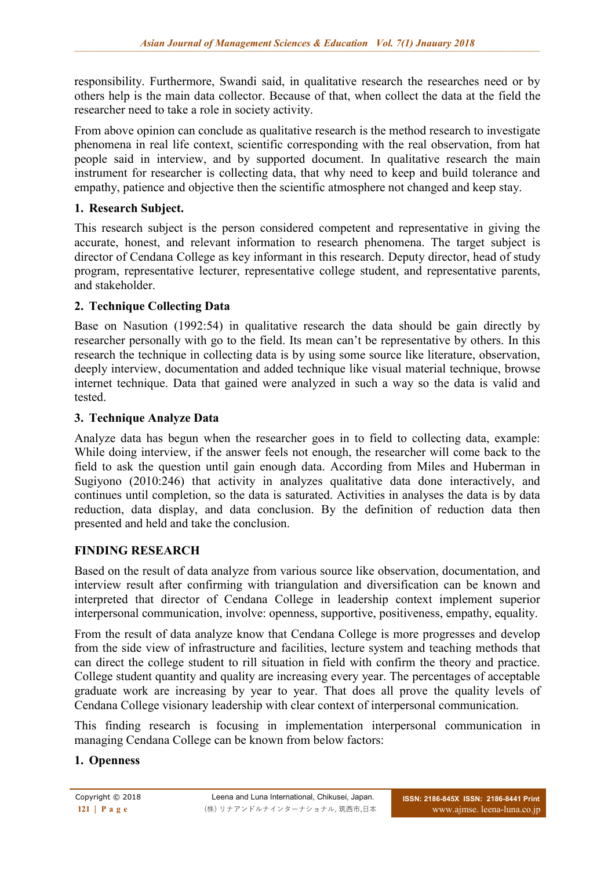responsibility. Furthermore, Swandi said, in qualitative research the researches need or by others help is the main data collector. Because of that, when collect the data at the field the researcher need to take a role in society activity.

From above opinion can conclude as qualitative research is the method research to investigate phenomena in real life context, scientific corresponding with the real observation, from hat people said in interview, and by supported document. In qualitative research the main instrument for researcher is collecting data, that why need to keep and build tolerance and empathy, patience and objective then the scientific atmosphere not changed and keep stay.

## **1. Research Subject.**

This research subject is the person considered competent and representative in giving the accurate, honest, and relevant information to research phenomena. The target subject is director of Cendana College as key informant in this research. Deputy director, head of study program, representative lecturer, representative college student, and representative parents, and stakeholder.

### **2. Technique Collecting Data**

Base on Nasution (1992:54) in qualitative research the data should be gain directly by researcher personally with go to the field. Its mean can't be representative by others. In this research the technique in collecting data is by using some source like literature, observation, deeply interview, documentation and added technique like visual material technique, browse internet technique. Data that gained were analyzed in such a way so the data is valid and tested.

#### **3. Technique Analyze Data**

Analyze data has begun when the researcher goes in to field to collecting data, example: While doing interview, if the answer feels not enough, the researcher will come back to the field to ask the question until gain enough data. According from Miles and Huberman in Sugiyono (2010:246) that activity in analyzes qualitative data done interactively, and continues until completion, so the data is saturated. Activities in analyses the data is by data reduction, data display, and data conclusion. By the definition of reduction data then presented and held and take the conclusion.

#### **FINDING RESEARCH**

Based on the result of data analyze from various source like observation, documentation, and interview result after confirming with triangulation and diversification can be known and interpreted that director of Cendana College in leadership context implement superior interpersonal communication, involve: openness, supportive, positiveness, empathy, equality.

From the result of data analyze know that Cendana College is more progresses and develop from the side view of infrastructure and facilities, lecture system and teaching methods that can direct the college student to rill situation in field with confirm the theory and practice. College student quantity and quality are increasing every year. The percentages of acceptable graduate work are increasing by year to year. That does all prove the quality levels of Cendana College visionary leadership with clear context of interpersonal communication.

This finding research is focusing in implementation interpersonal communication in managing Cendana College can be known from below factors:

## **1. Openness**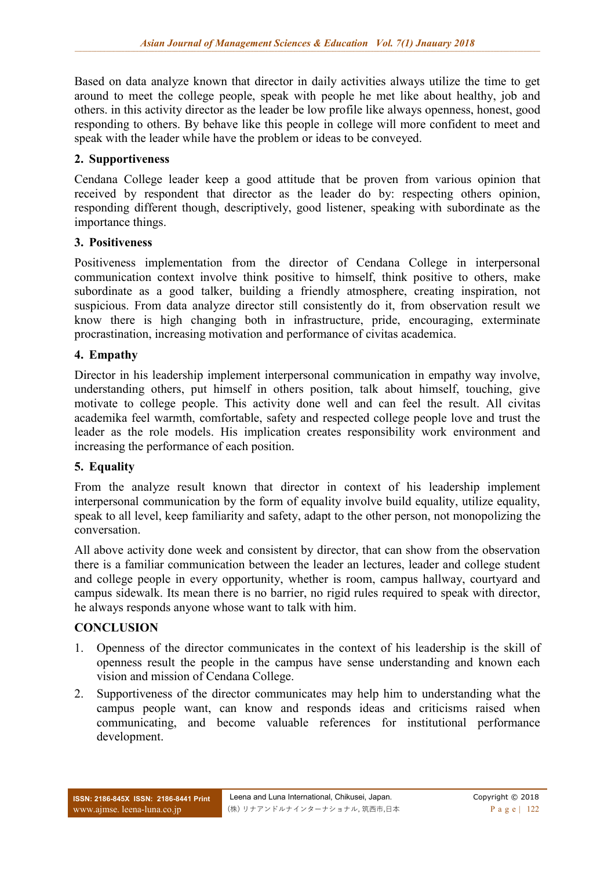Based on data analyze known that director in daily activities always utilize the time to get around to meet the college people, speak with people he met like about healthy, job and others. in this activity director as the leader be low profile like always openness, honest, good responding to others. By behave like this people in college will more confident to meet and speak with the leader while have the problem or ideas to be conveyed.

### **2. Supportiveness**

Cendana College leader keep a good attitude that be proven from various opinion that received by respondent that director as the leader do by: respecting others opinion, responding different though, descriptively, good listener, speaking with subordinate as the importance things.

### **3. Positiveness**

Positiveness implementation from the director of Cendana College in interpersonal communication context involve think positive to himself, think positive to others, make subordinate as a good talker, building a friendly atmosphere, creating inspiration, not suspicious. From data analyze director still consistently do it, from observation result we know there is high changing both in infrastructure, pride, encouraging, exterminate procrastination, increasing motivation and performance of civitas academica.

### **4. Empathy**

Director in his leadership implement interpersonal communication in empathy way involve, understanding others, put himself in others position, talk about himself, touching, give motivate to college people. This activity done well and can feel the result. All civitas academika feel warmth, comfortable, safety and respected college people love and trust the leader as the role models. His implication creates responsibility work environment and increasing the performance of each position.

#### **5. Equality**

From the analyze result known that director in context of his leadership implement interpersonal communication by the form of equality involve build equality, utilize equality, speak to all level, keep familiarity and safety, adapt to the other person, not monopolizing the conversation.

All above activity done week and consistent by director, that can show from the observation there is a familiar communication between the leader an lectures, leader and college student and college people in every opportunity, whether is room, campus hallway, courtyard and campus sidewalk. Its mean there is no barrier, no rigid rules required to speak with director, he always responds anyone whose want to talk with him.

#### **CONCLUSION**

- 1. Openness of the director communicates in the context of his leadership is the skill of openness result the people in the campus have sense understanding and known each vision and mission of Cendana College.
- 2. Supportiveness of the director communicates may help him to understanding what the campus people want, can know and responds ideas and criticisms raised when communicating, and become valuable references for institutional performance development.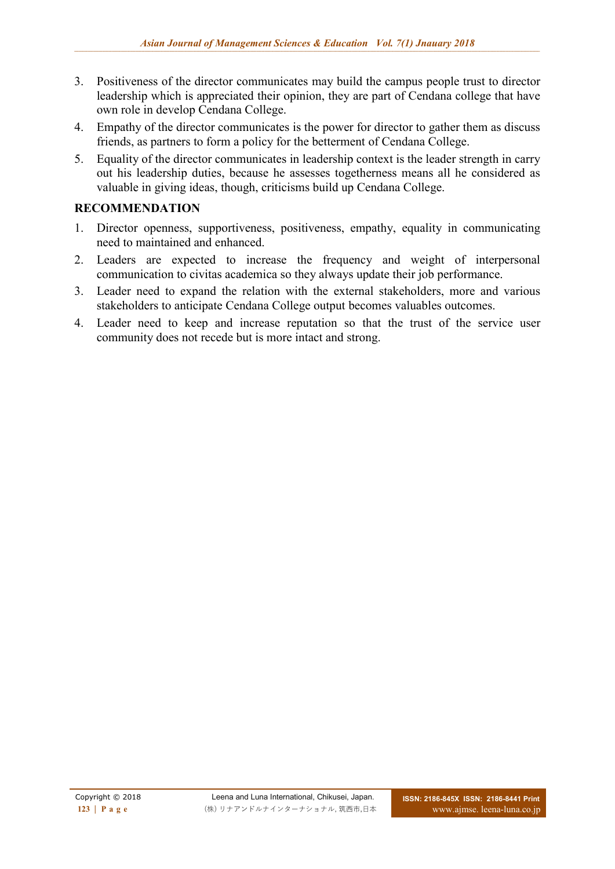- 3. Positiveness of the director communicates may build the campus people trust to director leadership which is appreciated their opinion, they are part of Cendana college that have own role in develop Cendana College.
- 4. Empathy of the director communicates is the power for director to gather them as discuss friends, as partners to form a policy for the betterment of Cendana College.
- 5. Equality of the director communicates in leadership context is the leader strength in carry out his leadership duties, because he assesses togetherness means all he considered as valuable in giving ideas, though, criticisms build up Cendana College.

## **RECOMMENDATION**

- 1. Director openness, supportiveness, positiveness, empathy, equality in communicating need to maintained and enhanced.
- 2. Leaders are expected to increase the frequency and weight of interpersonal communication to civitas academica so they always update their job performance.
- 3. Leader need to expand the relation with the external stakeholders, more and various stakeholders to anticipate Cendana College output becomes valuables outcomes.
- 4. Leader need to keep and increase reputation so that the trust of the service user community does not recede but is more intact and strong.